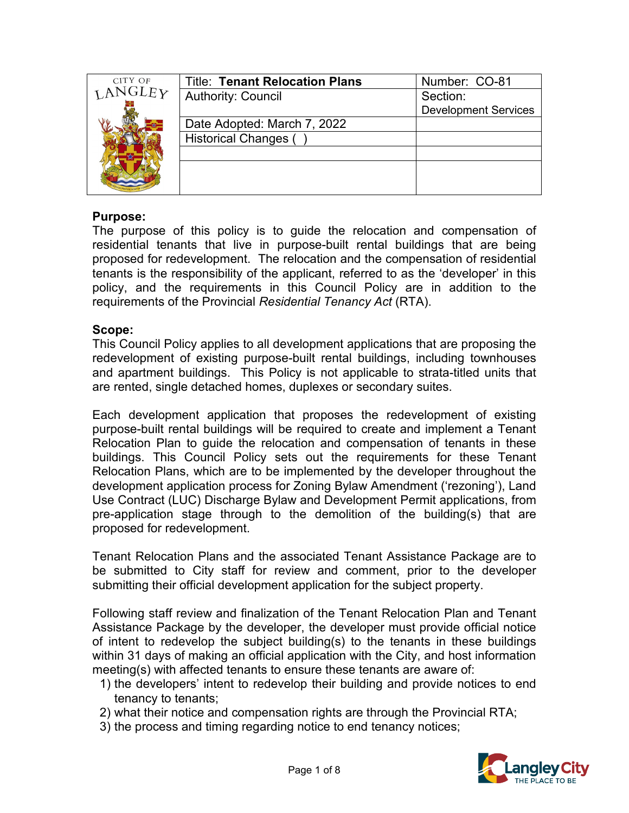| CITY OF        | <b>Title: Tenant Relocation Plans</b> | Number: CO-81               |
|----------------|---------------------------------------|-----------------------------|
| <b>LANGLEY</b> | <b>Authority: Council</b>             | Section:                    |
|                |                                       | <b>Development Services</b> |
|                | Date Adopted: March 7, 2022           |                             |
|                | <b>Historical Changes (</b>           |                             |
|                |                                       |                             |
|                |                                       |                             |
|                |                                       |                             |
|                |                                       |                             |

### **Purpose:**

The purpose of this policy is to guide the relocation and compensation of residential tenants that live in purpose-built rental buildings that are being proposed for redevelopment. The relocation and the compensation of residential tenants is the responsibility of the applicant, referred to as the 'developer' in this policy, and the requirements in this Council Policy are in addition to the requirements of the Provincial *Residential Tenancy Act* (RTA).

### **Scope:**

This Council Policy applies to all development applications that are proposing the redevelopment of existing purpose-built rental buildings, including townhouses and apartment buildings. This Policy is not applicable to strata-titled units that are rented, single detached homes, duplexes or secondary suites.

Each development application that proposes the redevelopment of existing purpose-built rental buildings will be required to create and implement a Tenant Relocation Plan to guide the relocation and compensation of tenants in these buildings. This Council Policy sets out the requirements for these Tenant Relocation Plans, which are to be implemented by the developer throughout the development application process for Zoning Bylaw Amendment ('rezoning'), Land Use Contract (LUC) Discharge Bylaw and Development Permit applications, from pre-application stage through to the demolition of the building(s) that are proposed for redevelopment.

Tenant Relocation Plans and the associated Tenant Assistance Package are to be submitted to City staff for review and comment, prior to the developer submitting their official development application for the subject property.

Following staff review and finalization of the Tenant Relocation Plan and Tenant Assistance Package by the developer, the developer must provide official notice of intent to redevelop the subject building(s) to the tenants in these buildings within 31 days of making an official application with the City, and host information meeting(s) with affected tenants to ensure these tenants are aware of:

- 1) the developers' intent to redevelop their building and provide notices to end tenancy to tenants;
- 2) what their notice and compensation rights are through the Provincial RTA;
- 3) the process and timing regarding notice to end tenancy notices;

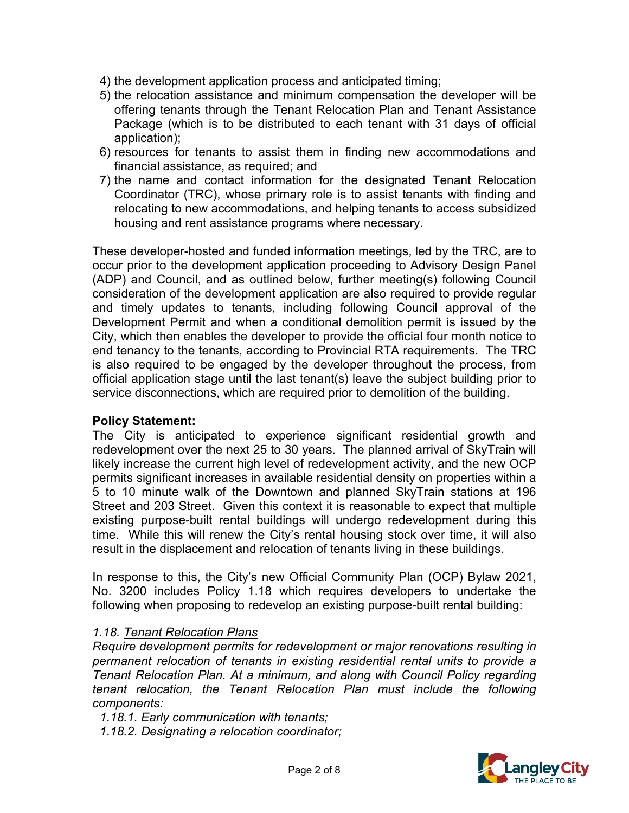- 4) the development application process and anticipated timing;
- 5) the relocation assistance and minimum compensation the developer will be offering tenants through the Tenant Relocation Plan and Tenant Assistance Package (which is to be distributed to each tenant with 31 days of official application);
- 6) resources for tenants to assist them in finding new accommodations and financial assistance, as required; and
- 7) the name and contact information for the designated Tenant Relocation Coordinator (TRC), whose primary role is to assist tenants with finding and relocating to new accommodations, and helping tenants to access subsidized housing and rent assistance programs where necessary.

These developer-hosted and funded information meetings, led by the TRC, are to occur prior to the development application proceeding to Advisory Design Panel (ADP) and Council, and as outlined below, further meeting(s) following Council consideration of the development application are also required to provide regular and timely updates to tenants, including following Council approval of the Development Permit and when a conditional demolition permit is issued by the City, which then enables the developer to provide the official four month notice to end tenancy to the tenants, according to Provincial RTA requirements. The TRC is also required to be engaged by the developer throughout the process, from official application stage until the last tenant(s) leave the subject building prior to service disconnections, which are required prior to demolition of the building.

### **Policy Statement:**

The City is anticipated to experience significant residential growth and redevelopment over the next 25 to 30 years. The planned arrival of SkyTrain will likely increase the current high level of redevelopment activity, and the new OCP permits significant increases in available residential density on properties within a 5 to 10 minute walk of the Downtown and planned SkyTrain stations at 196 Street and 203 Street. Given this context it is reasonable to expect that multiple existing purpose-built rental buildings will undergo redevelopment during this time. While this will renew the City's rental housing stock over time, it will also result in the displacement and relocation of tenants living in these buildings.

In response to this, the City's new Official Community Plan (OCP) Bylaw 2021, No. 3200 includes Policy 1.18 which requires developers to undertake the following when proposing to redevelop an existing purpose-built rental building:

### *1.18. Tenant Relocation Plans*

*Require development permits for redevelopment or major renovations resulting in permanent relocation of tenants in existing residential rental units to provide a Tenant Relocation Plan. At a minimum, and along with Council Policy regarding tenant relocation, the Tenant Relocation Plan must include the following components:* 

*1.18.1. Early communication with tenants;* 

*1.18.2. Designating a relocation coordinator;*

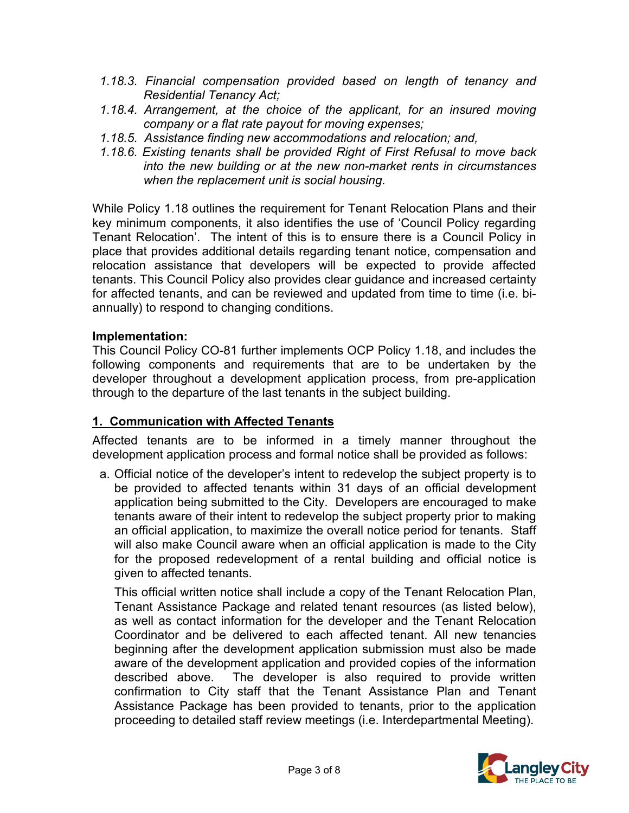- *1.18.3. Financial compensation provided based on length of tenancy and Residential Tenancy Act;*
- *1.18.4. Arrangement, at the choice of the applicant, for an insured moving company or a flat rate payout for moving expenses;*
- *1.18.5. Assistance finding new accommodations and relocation; and,*
- *1.18.6. Existing tenants shall be provided Right of First Refusal to move back into the new building or at the new non-market rents in circumstances when the replacement unit is social housing.*

While Policy 1.18 outlines the requirement for Tenant Relocation Plans and their key minimum components, it also identifies the use of 'Council Policy regarding Tenant Relocation'. The intent of this is to ensure there is a Council Policy in place that provides additional details regarding tenant notice, compensation and relocation assistance that developers will be expected to provide affected tenants. This Council Policy also provides clear guidance and increased certainty for affected tenants, and can be reviewed and updated from time to time (i.e. biannually) to respond to changing conditions.

### **Implementation:**

This Council Policy CO-81 further implements OCP Policy 1.18, and includes the following components and requirements that are to be undertaken by the developer throughout a development application process, from pre-application through to the departure of the last tenants in the subject building.

## **1. Communication with Affected Tenants**

Affected tenants are to be informed in a timely manner throughout the development application process and formal notice shall be provided as follows:

a. Official notice of the developer's intent to redevelop the subject property is to be provided to affected tenants within 31 days of an official development application being submitted to the City. Developers are encouraged to make tenants aware of their intent to redevelop the subject property prior to making an official application, to maximize the overall notice period for tenants. Staff will also make Council aware when an official application is made to the City for the proposed redevelopment of a rental building and official notice is given to affected tenants.

This official written notice shall include a copy of the Tenant Relocation Plan, Tenant Assistance Package and related tenant resources (as listed below), as well as contact information for the developer and the Tenant Relocation Coordinator and be delivered to each affected tenant. All new tenancies beginning after the development application submission must also be made aware of the development application and provided copies of the information described above. The developer is also required to provide written confirmation to City staff that the Tenant Assistance Plan and Tenant Assistance Package has been provided to tenants, prior to the application proceeding to detailed staff review meetings (i.e. Interdepartmental Meeting).

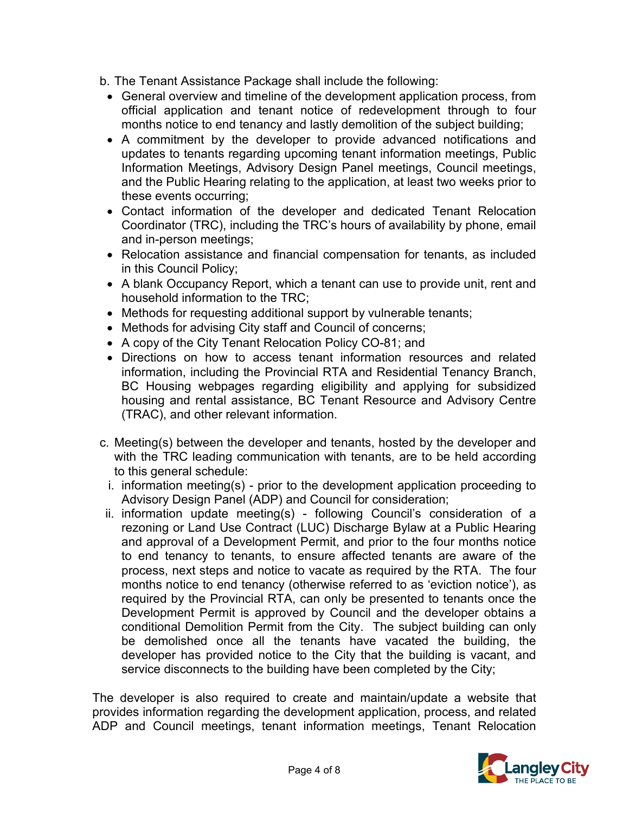- b. The Tenant Assistance Package shall include the following:
	- General overview and timeline of the development application process, from official application and tenant notice of redevelopment through to four months notice to end tenancy and lastly demolition of the subject building;
	- A commitment by the developer to provide advanced notifications and updates to tenants regarding upcoming tenant information meetings, Public Information Meetings, Advisory Design Panel meetings, Council meetings, and the Public Hearing relating to the application, at least two weeks prior to these events occurring;
	- Contact information of the developer and dedicated Tenant Relocation Coordinator (TRC), including the TRC's hours of availability by phone, email and in-person meetings;
	- Relocation assistance and financial compensation for tenants, as included in this Council Policy;
	- A blank Occupancy Report, which a tenant can use to provide unit, rent and household information to the TRC;
	- Methods for requesting additional support by vulnerable tenants;
	- Methods for advising City staff and Council of concerns;
	- A copy of the City Tenant Relocation Policy CO-81; and
	- Directions on how to access tenant information resources and related information, including the Provincial RTA and Residential Tenancy Branch, BC Housing webpages regarding eligibility and applying for subsidized housing and rental assistance, BC Tenant Resource and Advisory Centre (TRAC), and other relevant information.
- c. Meeting(s) between the developer and tenants, hosted by the developer and with the TRC leading communication with tenants, are to be held according to this general schedule:
	- i. information meeting(s) prior to the development application proceeding to Advisory Design Panel (ADP) and Council for consideration;
- ii. information update meeting(s) following Council's consideration of a rezoning or Land Use Contract (LUC) Discharge Bylaw at a Public Hearing and approval of a Development Permit, and prior to the four months notice to end tenancy to tenants, to ensure affected tenants are aware of the process, next steps and notice to vacate as required by the RTA. The four months notice to end tenancy (otherwise referred to as 'eviction notice'), as required by the Provincial RTA, can only be presented to tenants once the Development Permit is approved by Council and the developer obtains a conditional Demolition Permit from the City. The subject building can only be demolished once all the tenants have vacated the building, the developer has provided notice to the City that the building is vacant, and service disconnects to the building have been completed by the City;

The developer is also required to create and maintain/update a website that provides information regarding the development application, process, and related ADP and Council meetings, tenant information meetings, Tenant Relocation

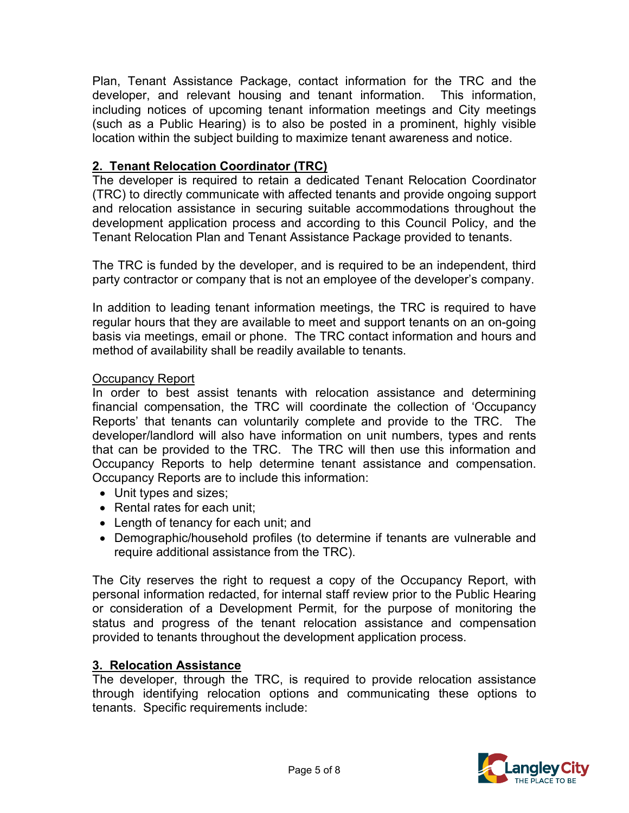Plan, Tenant Assistance Package, contact information for the TRC and the developer, and relevant housing and tenant information. This information, including notices of upcoming tenant information meetings and City meetings (such as a Public Hearing) is to also be posted in a prominent, highly visible location within the subject building to maximize tenant awareness and notice.

# **2. Tenant Relocation Coordinator (TRC)**

The developer is required to retain a dedicated Tenant Relocation Coordinator (TRC) to directly communicate with affected tenants and provide ongoing support and relocation assistance in securing suitable accommodations throughout the development application process and according to this Council Policy, and the Tenant Relocation Plan and Tenant Assistance Package provided to tenants.

The TRC is funded by the developer, and is required to be an independent, third party contractor or company that is not an employee of the developer's company.

In addition to leading tenant information meetings, the TRC is required to have regular hours that they are available to meet and support tenants on an on-going basis via meetings, email or phone. The TRC contact information and hours and method of availability shall be readily available to tenants.

### Occupancy Report

In order to best assist tenants with relocation assistance and determining financial compensation, the TRC will coordinate the collection of 'Occupancy Reports' that tenants can voluntarily complete and provide to the TRC. The developer/landlord will also have information on unit numbers, types and rents that can be provided to the TRC. The TRC will then use this information and Occupancy Reports to help determine tenant assistance and compensation. Occupancy Reports are to include this information:

- Unit types and sizes;
- Rental rates for each unit;
- Length of tenancy for each unit; and
- Demographic/household profiles (to determine if tenants are vulnerable and require additional assistance from the TRC).

The City reserves the right to request a copy of the Occupancy Report, with personal information redacted, for internal staff review prior to the Public Hearing or consideration of a Development Permit, for the purpose of monitoring the status and progress of the tenant relocation assistance and compensation provided to tenants throughout the development application process.

## **3. Relocation Assistance**

The developer, through the TRC, is required to provide relocation assistance through identifying relocation options and communicating these options to tenants. Specific requirements include:

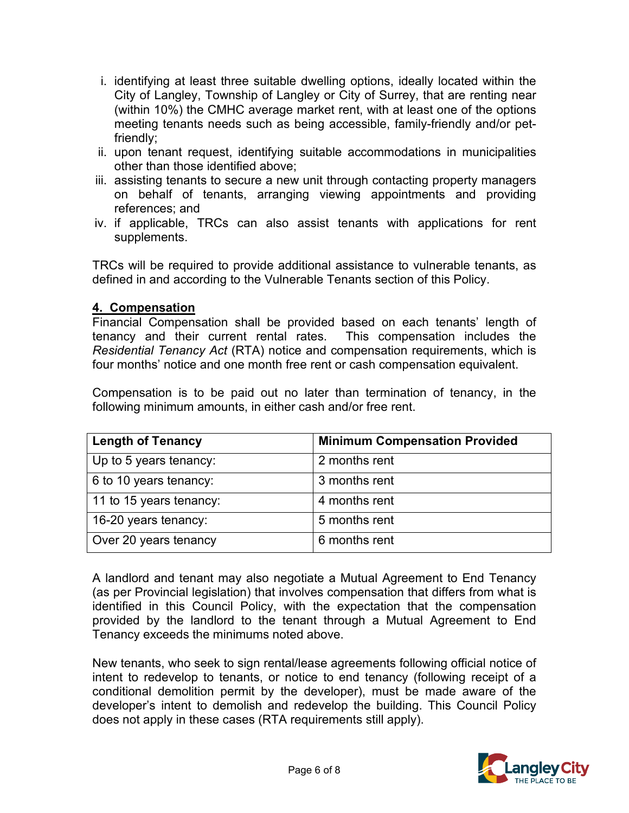- i. identifying at least three suitable dwelling options, ideally located within the City of Langley, Township of Langley or City of Surrey, that are renting near (within 10%) the CMHC average market rent, with at least one of the options meeting tenants needs such as being accessible, family-friendly and/or petfriendly;
- ii. upon tenant request, identifying suitable accommodations in municipalities other than those identified above;
- iii. assisting tenants to secure a new unit through contacting property managers on behalf of tenants, arranging viewing appointments and providing references; and
- iv. if applicable, TRCs can also assist tenants with applications for rent supplements.

TRCs will be required to provide additional assistance to vulnerable tenants, as defined in and according to the Vulnerable Tenants section of this Policy.

### **4. Compensation**

Financial Compensation shall be provided based on each tenants' length of tenancy and their current rental rates. This compensation includes the *Residential Tenancy Act* (RTA) notice and compensation requirements, which is four months' notice and one month free rent or cash compensation equivalent.

Compensation is to be paid out no later than termination of tenancy, in the following minimum amounts, in either cash and/or free rent.

| <b>Length of Tenancy</b> | <b>Minimum Compensation Provided</b> |  |
|--------------------------|--------------------------------------|--|
| Up to 5 years tenancy:   | 2 months rent                        |  |
| 6 to 10 years tenancy:   | 3 months rent                        |  |
| 11 to 15 years tenancy:  | 4 months rent                        |  |
| 16-20 years tenancy:     | 5 months rent                        |  |
| Over 20 years tenancy    | 6 months rent                        |  |

A landlord and tenant may also negotiate a Mutual Agreement to End Tenancy (as per Provincial legislation) that involves compensation that differs from what is identified in this Council Policy, with the expectation that the compensation provided by the landlord to the tenant through a Mutual Agreement to End Tenancy exceeds the minimums noted above.

New tenants, who seek to sign rental/lease agreements following official notice of intent to redevelop to tenants, or notice to end tenancy (following receipt of a conditional demolition permit by the developer), must be made aware of the developer's intent to demolish and redevelop the building. This Council Policy does not apply in these cases (RTA requirements still apply).

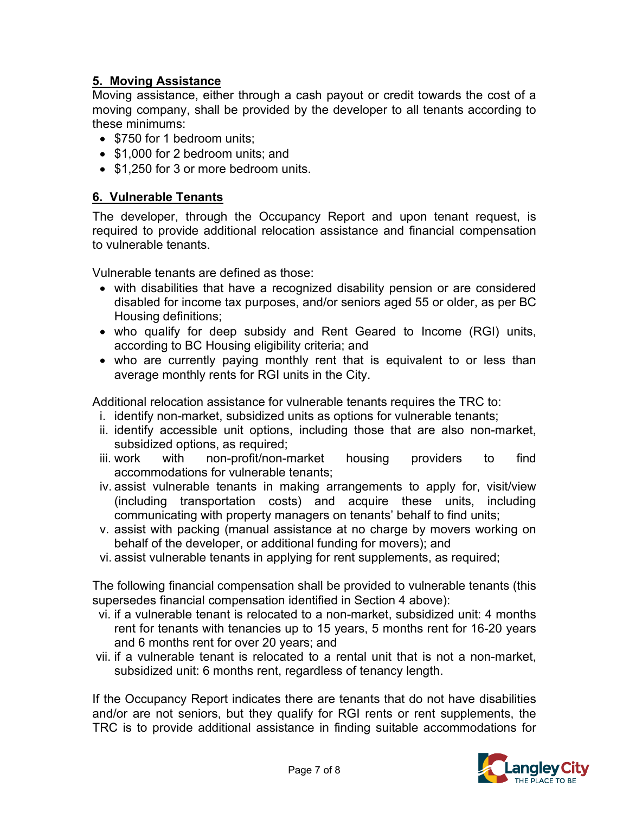# **5. Moving Assistance**

Moving assistance, either through a cash payout or credit towards the cost of a moving company, shall be provided by the developer to all tenants according to these minimums:

- \$750 for 1 bedroom units:
- \$1,000 for 2 bedroom units; and
- \$1,250 for 3 or more bedroom units.

## **6. Vulnerable Tenants**

The developer, through the Occupancy Report and upon tenant request, is required to provide additional relocation assistance and financial compensation to vulnerable tenants.

Vulnerable tenants are defined as those:

- with disabilities that have a recognized disability pension or are considered disabled for income tax purposes, and/or seniors aged 55 or older, as per BC Housing definitions;
- who qualify for deep subsidy and Rent Geared to Income (RGI) units, according to BC Housing eligibility criteria; and
- who are currently paying monthly rent that is equivalent to or less than average monthly rents for RGI units in the City.

Additional relocation assistance for vulnerable tenants requires the TRC to:

- i. identify non-market, subsidized units as options for vulnerable tenants;
- ii. identify accessible unit options, including those that are also non-market, subsidized options, as required;
- iii. work with non-profit/non-market housing providers to find accommodations for vulnerable tenants;
- iv. assist vulnerable tenants in making arrangements to apply for, visit/view (including transportation costs) and acquire these units, including communicating with property managers on tenants' behalf to find units;
- v. assist with packing (manual assistance at no charge by movers working on behalf of the developer, or additional funding for movers); and
- vi. assist vulnerable tenants in applying for rent supplements, as required;

The following financial compensation shall be provided to vulnerable tenants (this supersedes financial compensation identified in Section 4 above):

- vi. if a vulnerable tenant is relocated to a non-market, subsidized unit: 4 months rent for tenants with tenancies up to 15 years, 5 months rent for 16-20 years and 6 months rent for over 20 years; and
- vii. if a vulnerable tenant is relocated to a rental unit that is not a non-market, subsidized unit: 6 months rent, regardless of tenancy length.

If the Occupancy Report indicates there are tenants that do not have disabilities and/or are not seniors, but they qualify for RGI rents or rent supplements, the TRC is to provide additional assistance in finding suitable accommodations for